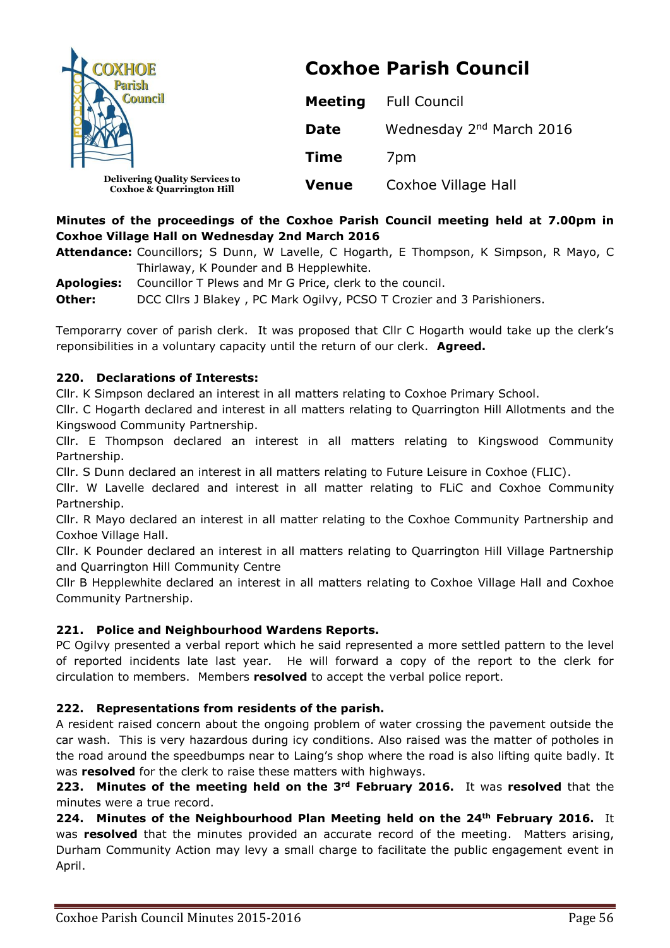| <b>COXHOE</b><br><b>Council</b>                                               | <b>Coxhoe Parish Council</b> |                                      |  |
|-------------------------------------------------------------------------------|------------------------------|--------------------------------------|--|
|                                                                               | <b>Meeting</b>               | <b>Full Council</b>                  |  |
|                                                                               | <b>Date</b>                  | Wednesday 2 <sup>nd</sup> March 2016 |  |
|                                                                               | <b>Time</b>                  | 7 <sub>pm</sub>                      |  |
| <b>Delivering Quality Services to</b><br><b>Coxhoe &amp; Quarrington Hill</b> | <b>Venue</b>                 | Coxhoe Village Hall                  |  |

# **Minutes of the proceedings of the Coxhoe Parish Council meeting held at 7.00pm in Coxhoe Village Hall on Wednesday 2nd March 2016**

**Attendance:** Councillors; S Dunn, W Lavelle, C Hogarth, E Thompson, K Simpson, R Mayo, C Thirlaway, K Pounder and B Hepplewhite.

**Apologies:** Councillor T Plews and Mr G Price, clerk to the council. **Other:** DCC Cllrs J Blakey, PC Mark Ogilvy, PCSO T Crozier and 3 Parishioners.

Temporarry cover of parish clerk. It was proposed that Cllr C Hogarth would take up the clerk's reponsibilities in a voluntary capacity until the return of our clerk. **Agreed.**

### **220. Declarations of Interests:**

Cllr. K Simpson declared an interest in all matters relating to Coxhoe Primary School.

Cllr. C Hogarth declared and interest in all matters relating to Quarrington Hill Allotments and the Kingswood Community Partnership.

Cllr. E Thompson declared an interest in all matters relating to Kingswood Community Partnership.

Cllr. S Dunn declared an interest in all matters relating to Future Leisure in Coxhoe (FLIC).

Cllr. W Lavelle declared and interest in all matter relating to FLiC and Coxhoe Community Partnership.

Cllr. R Mayo declared an interest in all matter relating to the Coxhoe Community Partnership and Coxhoe Village Hall.

Cllr. K Pounder declared an interest in all matters relating to Quarrington Hill Village Partnership and Quarrington Hill Community Centre

Cllr B Hepplewhite declared an interest in all matters relating to Coxhoe Village Hall and Coxhoe Community Partnership.

## **221. Police and Neighbourhood Wardens Reports.**

PC Ogilvy presented a verbal report which he said represented a more settled pattern to the level of reported incidents late last year. He will forward a copy of the report to the clerk for circulation to members. Members **resolved** to accept the verbal police report.

### **222. Representations from residents of the parish.**

A resident raised concern about the ongoing problem of water crossing the pavement outside the car wash. This is very hazardous during icy conditions. Also raised was the matter of potholes in the road around the speedbumps near to Laing's shop where the road is also lifting quite badly. It was **resolved** for the clerk to raise these matters with highways.

**223. Minutes of the meeting held on the 3rd February 2016.** It was **resolved** that the minutes were a true record.

**224. Minutes of the Neighbourhood Plan Meeting held on the 24th February 2016.** It was **resolved** that the minutes provided an accurate record of the meeting. Matters arising, Durham Community Action may levy a small charge to facilitate the public engagement event in April.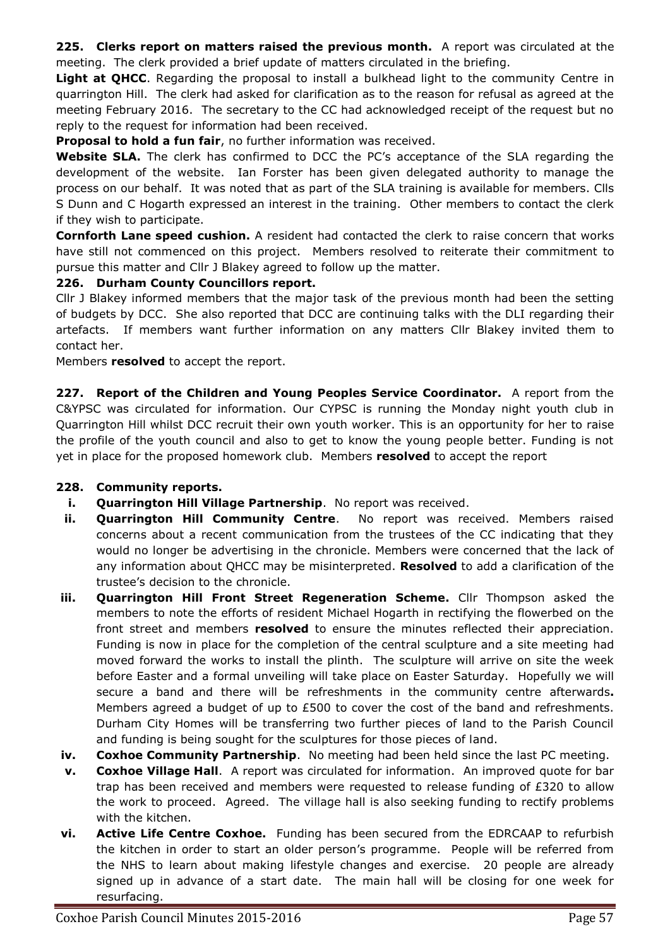**225. Clerks report on matters raised the previous month.** A report was circulated at the meeting. The clerk provided a brief update of matters circulated in the briefing.

**Light at QHCC**. Regarding the proposal to install a bulkhead light to the community Centre in quarrington Hill. The clerk had asked for clarification as to the reason for refusal as agreed at the meeting February 2016. The secretary to the CC had acknowledged receipt of the request but no reply to the request for information had been received.

**Proposal to hold a fun fair**, no further information was received.

**Website SLA.** The clerk has confirmed to DCC the PC's acceptance of the SLA regarding the development of the website. Ian Forster has been given delegated authority to manage the process on our behalf. It was noted that as part of the SLA training is available for members. Clls S Dunn and C Hogarth expressed an interest in the training. Other members to contact the clerk if they wish to participate.

**Cornforth Lane speed cushion.** A resident had contacted the clerk to raise concern that works have still not commenced on this project. Members resolved to reiterate their commitment to pursue this matter and Cllr J Blakey agreed to follow up the matter.

### **226. Durham County Councillors report.**

Cllr J Blakey informed members that the major task of the previous month had been the setting of budgets by DCC. She also reported that DCC are continuing talks with the DLI regarding their artefacts. If members want further information on any matters Cllr Blakey invited them to contact her.

Members **resolved** to accept the report.

**227. Report of the Children and Young Peoples Service Coordinator.** A report from the C&YPSC was circulated for information. Our CYPSC is running the Monday night youth club in Quarrington Hill whilst DCC recruit their own youth worker. This is an opportunity for her to raise the profile of the youth council and also to get to know the young people better. Funding is not yet in place for the proposed homework club. Members **resolved** to accept the report

### **228. Community reports.**

- **i. Quarrington Hill Village Partnership**. No report was received.
- **ii. Quarrington Hill Community Centre**. No report was received. Members raised concerns about a recent communication from the trustees of the CC indicating that they would no longer be advertising in the chronicle. Members were concerned that the lack of any information about QHCC may be misinterpreted. **Resolved** to add a clarification of the trustee's decision to the chronicle.
- **iii. Quarrington Hill Front Street Regeneration Scheme.** Cllr Thompson asked the members to note the efforts of resident Michael Hogarth in rectifying the flowerbed on the front street and members **resolved** to ensure the minutes reflected their appreciation. Funding is now in place for the completion of the central sculpture and a site meeting had moved forward the works to install the plinth. The sculpture will arrive on site the week before Easter and a formal unveiling will take place on Easter Saturday. Hopefully we will secure a band and there will be refreshments in the community centre afterwards**.** Members agreed a budget of up to £500 to cover the cost of the band and refreshments. Durham City Homes will be transferring two further pieces of land to the Parish Council and funding is being sought for the sculptures for those pieces of land.
- **iv. Coxhoe Community Partnership**. No meeting had been held since the last PC meeting.
- **v. Coxhoe Village Hall**. A report was circulated for information. An improved quote for bar trap has been received and members were requested to release funding of £320 to allow the work to proceed. Agreed. The village hall is also seeking funding to rectify problems with the kitchen.
- **vi. Active Life Centre Coxhoe.** Funding has been secured from the EDRCAAP to refurbish the kitchen in order to start an older person's programme. People will be referred from the NHS to learn about making lifestyle changes and exercise. 20 people are already signed up in advance of a start date. The main hall will be closing for one week for resurfacing.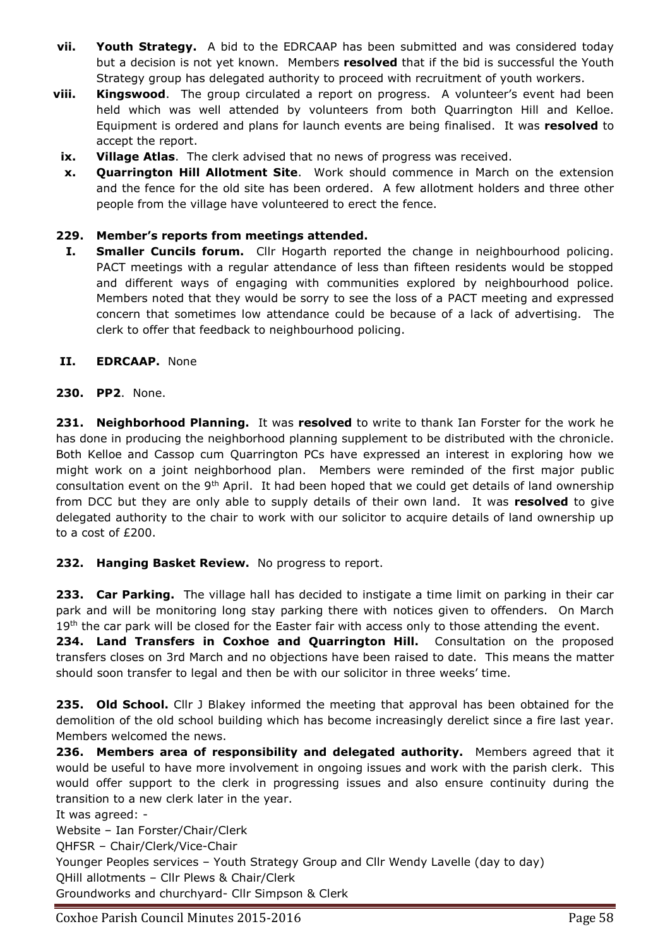- **vii. Youth Strategy.** A bid to the EDRCAAP has been submitted and was considered today but a decision is not yet known. Members **resolved** that if the bid is successful the Youth Strategy group has delegated authority to proceed with recruitment of youth workers.
- **viii. Kingswood**. The group circulated a report on progress. A volunteer's event had been held which was well attended by volunteers from both Quarrington Hill and Kelloe. Equipment is ordered and plans for launch events are being finalised. It was **resolved** to accept the report.
- **ix. Village Atlas**. The clerk advised that no news of progress was received.
- **x. Quarrington Hill Allotment Site**. Work should commence in March on the extension and the fence for the old site has been ordered. A few allotment holders and three other people from the village have volunteered to erect the fence.

### **229. Member's reports from meetings attended.**

**I. Smaller Cuncils forum.** Cllr Hogarth reported the change in neighbourhood policing. PACT meetings with a regular attendance of less than fifteen residents would be stopped and different ways of engaging with communities explored by neighbourhood police. Members noted that they would be sorry to see the loss of a PACT meeting and expressed concern that sometimes low attendance could be because of a lack of advertising. The clerk to offer that feedback to neighbourhood policing.

### **II. EDRCAAP.** None

**230. PP2**. None.

**231. Neighborhood Planning.** It was **resolved** to write to thank Ian Forster for the work he has done in producing the neighborhood planning supplement to be distributed with the chronicle. Both Kelloe and Cassop cum Quarrington PCs have expressed an interest in exploring how we might work on a joint neighborhood plan. Members were reminded of the first major public consultation event on the 9<sup>th</sup> April. It had been hoped that we could get details of land ownership from DCC but they are only able to supply details of their own land. It was **resolved** to give delegated authority to the chair to work with our solicitor to acquire details of land ownership up to a cost of £200.

## **232. Hanging Basket Review.** No progress to report.

**233. Car Parking.** The village hall has decided to instigate a time limit on parking in their car park and will be monitoring long stay parking there with notices given to offenders. On March 19<sup>th</sup> the car park will be closed for the Easter fair with access only to those attending the event.

**234. Land Transfers in Coxhoe and Quarrington Hill.** Consultation on the proposed transfers closes on 3rd March and no objections have been raised to date. This means the matter should soon transfer to legal and then be with our solicitor in three weeks' time.

**235. Old School.** Cllr J Blakey informed the meeting that approval has been obtained for the demolition of the old school building which has become increasingly derelict since a fire last year. Members welcomed the news.

**236. Members area of responsibility and delegated authority.** Members agreed that it would be useful to have more involvement in ongoing issues and work with the parish clerk. This would offer support to the clerk in progressing issues and also ensure continuity during the transition to a new clerk later in the year.

It was agreed: -

Website – Ian Forster/Chair/Clerk QHFSR – Chair/Clerk/Vice-Chair Younger Peoples services – Youth Strategy Group and Cllr Wendy Lavelle (day to day) QHill allotments – Cllr Plews & Chair/Clerk Groundworks and churchyard- Cllr Simpson & Clerk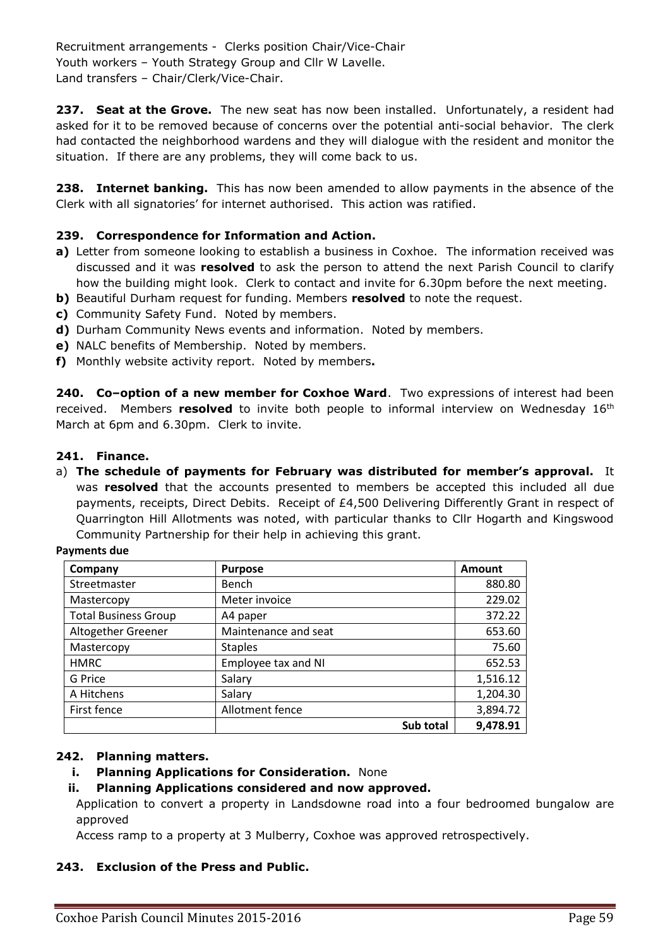Recruitment arrangements - Clerks position Chair/Vice-Chair Youth workers – Youth Strategy Group and Cllr W Lavelle. Land transfers – Chair/Clerk/Vice-Chair.

**237. Seat at the Grove.** The new seat has now been installed. Unfortunately, a resident had asked for it to be removed because of concerns over the potential anti-social behavior. The clerk had contacted the neighborhood wardens and they will dialogue with the resident and monitor the situation. If there are any problems, they will come back to us.

**238. Internet banking.** This has now been amended to allow payments in the absence of the Clerk with all signatories' for internet authorised. This action was ratified.

### **239. Correspondence for Information and Action.**

- **a)** Letter from someone looking to establish a business in Coxhoe. The information received was discussed and it was **resolved** to ask the person to attend the next Parish Council to clarify how the building might look. Clerk to contact and invite for 6.30pm before the next meeting.
- **b)** Beautiful Durham request for funding. Members **resolved** to note the request.
- **c)** Community Safety Fund. Noted by members.
- **d)** Durham Community News events and information. Noted by members.
- **e)** NALC benefits of Membership. Noted by members.
- **f)** Monthly website activity report. Noted by members**.**

**240. Co–option of a new member for Coxhoe Ward**. Two expressions of interest had been received. Members **resolved** to invite both people to informal interview on Wednesday 16<sup>th</sup> March at 6pm and 6.30pm. Clerk to invite.

#### **241. Finance.**

a) **The schedule of payments for February was distributed for member's approval.** It was **resolved** that the accounts presented to members be accepted this included all due payments, receipts, Direct Debits. Receipt of £4,500 Delivering Differently Grant in respect of Quarrington Hill Allotments was noted, with particular thanks to Cllr Hogarth and Kingswood Community Partnership for their help in achieving this grant.

#### **Payments due**

| Company                     | <b>Purpose</b>       | Amount   |
|-----------------------------|----------------------|----------|
| Streetmaster                | Bench                | 880.80   |
| Mastercopy                  | Meter invoice        | 229.02   |
| <b>Total Business Group</b> | A4 paper             | 372.22   |
| Altogether Greener          | Maintenance and seat | 653.60   |
| Mastercopy                  | <b>Staples</b>       | 75.60    |
| <b>HMRC</b>                 | Employee tax and NI  | 652.53   |
| G Price                     | Salary               | 1,516.12 |
| A Hitchens                  | Salary               | 1,204.30 |
| First fence                 | Allotment fence      | 3,894.72 |
|                             | Sub total            | 9,478.91 |

### **242. Planning matters.**

### **i. Planning Applications for Consideration.** None

### **ii. Planning Applications considered and now approved.**

Application to convert a property in Landsdowne road into a four bedroomed bungalow are approved

Access ramp to a property at 3 Mulberry, Coxhoe was approved retrospectively.

### **243. Exclusion of the Press and Public.**